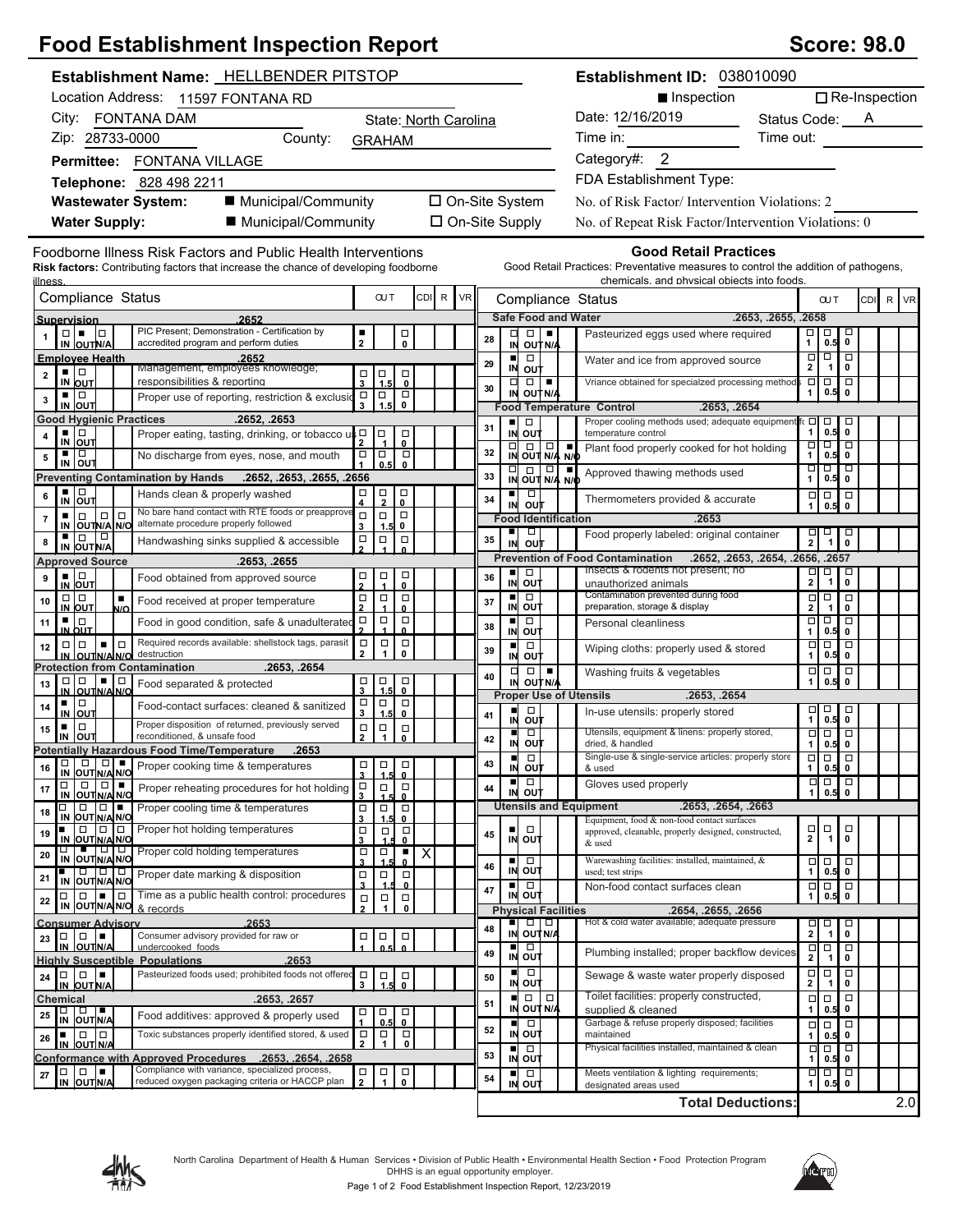## **Food Establishment Inspection Report**

| Score: 98.0 |  |
|-------------|--|
|-------------|--|

| <b>Establishment Name: HELLBENDER PITSTOP</b>                                                                                                                                                                        |                       |                                                                                                                                                                              | Establishment ID: 038010090                                                                                                                                       |                                                                                                    |
|----------------------------------------------------------------------------------------------------------------------------------------------------------------------------------------------------------------------|-----------------------|------------------------------------------------------------------------------------------------------------------------------------------------------------------------------|-------------------------------------------------------------------------------------------------------------------------------------------------------------------|----------------------------------------------------------------------------------------------------|
| Location Address: 11597 FONTANA RD                                                                                                                                                                                   |                       |                                                                                                                                                                              | ■ Inspection                                                                                                                                                      | $\Box$ Re-Inspection                                                                               |
| City: FONTANA DAM                                                                                                                                                                                                    | State: North Carolina |                                                                                                                                                                              | Date: 12/16/2019                                                                                                                                                  | Status Code: A                                                                                     |
| Zip: 28733-0000<br>County:<br><b>GRAHAM</b>                                                                                                                                                                          |                       |                                                                                                                                                                              | Time in:                                                                                                                                                          | Time out:                                                                                          |
| Permittee: FONTANA VILLAGE                                                                                                                                                                                           |                       |                                                                                                                                                                              | Category#: 2                                                                                                                                                      |                                                                                                    |
| Telephone: 828 498 2211                                                                                                                                                                                              |                       |                                                                                                                                                                              | FDA Establishment Type:                                                                                                                                           |                                                                                                    |
| ■ Municipal/Community<br><b>Wastewater System:</b>                                                                                                                                                                   | □ On-Site System      |                                                                                                                                                                              | No. of Risk Factor/Intervention Violations: 2                                                                                                                     |                                                                                                    |
| ■ Municipal/Community<br><b>Water Supply:</b>                                                                                                                                                                        | $\Box$ On-Site Supply |                                                                                                                                                                              | No. of Repeat Risk Factor/Intervention Violations: 0                                                                                                              |                                                                                                    |
| Foodborne Illness Risk Factors and Public Health Interventions<br><b>Risk factors:</b> Contributing factors that increase the chance of developing foodborne<br><u>illness</u>                                       |                       |                                                                                                                                                                              | <b>Good Retail Practices</b><br>Good Retail Practices: Preventative measures to control the addition of pathogens,<br>chemicals, and physical objects into foods. |                                                                                                    |
| Compliance Status<br><b>OUT</b>                                                                                                                                                                                      | CDI R<br><b>VR</b>    | Compliance Status                                                                                                                                                            |                                                                                                                                                                   | CDI R VR<br><b>CUT</b>                                                                             |
| 2652<br>Supervision                                                                                                                                                                                                  |                       | <b>Safe Food and Water</b>                                                                                                                                                   |                                                                                                                                                                   | .2653, .2655, .2658                                                                                |
| PIC Present; Demonstration - Certification by<br>ol - 10<br>□<br>0<br>$\overline{2}$<br>IN OUTN/A<br>accredited program and perform duties                                                                           | 28                    | $\begin{array}{c c c c c c} \hline \textbf{C} & \textbf{D} & \textbf{I} & \textbf{I} \end{array}$<br>IN OUTN/A                                                               | Pasteurized eggs used where required                                                                                                                              | $\Box   \Box  $<br>o<br>$0.5$ 0<br>$\mathbf{1}$                                                    |
| <b>Employee Health</b><br>.2652<br>Management, employees knowledge;                                                                                                                                                  | 29                    | $\blacksquare$<br>$\Box$<br>IN OUT                                                                                                                                           | Water and ice from approved source                                                                                                                                | $\overline{\blacksquare}$<br>$\overline{\Box}$<br>▫<br>$\mathbf{2}$<br>$\mathbf{1}$<br>$\mathbf 0$ |
| $\blacksquare$<br>$\begin{array}{c}\n\Box \\ 3\n\end{array}$<br>$\begin{array}{c} \square \\ 1.5 \end{array}$<br>$\Box$<br>$\overline{\mathbf{2}}$<br>IN OUT<br>responsibilities & reporting<br>$\mathbf 0$          | 30                    | 미<br>$\Box$<br>٠                                                                                                                                                             | Vriance obtained for specialzed processing method                                                                                                                 | Ξ<br>$\frac{1}{2}$                                                                                 |
| $\Box$<br>$\Box$<br>$_\mathrm{0}^\square$<br>▫<br>$\Box$<br>Proper use of reporting, restriction & exclusion<br>$\mathbf{3}$<br>3<br>1.5<br>IN OUT                                                                   |                       | IN OUT N/A<br><b>Food Temperature Control</b>                                                                                                                                | .2653, .2654                                                                                                                                                      | $\mathbf 0$<br>0.5<br>1                                                                            |
| <b>Good Hygienic Practices</b><br>.2652. .2653                                                                                                                                                                       | 31                    | $\blacksquare$<br>$\Box$                                                                                                                                                     | Proper cooling methods used; adequate equipment fr [ ]                                                                                                            | о                                                                                                  |
| ▪ ▏□<br>Proper eating, tasting, drinking, or tobacco us D<br>$\Box$<br>□<br>0<br>4<br>$\overline{IN}$ out                                                                                                            |                       | IN OUT<br>$\begin{array}{ c c c }\n\hline\n\Box & \Box & \Box & \Box \\ \hline\n\vdots & \ddots & \ddots & \ddots \\ \hline\n\vdots & \ddots & \ddots & \ddots\n\end{array}$ | temperature control<br>Plant food properly cooked for hot holding                                                                                                 | $\mathbf{1}$<br>0.5<br>$\mathbf 0$<br>□<br>Π<br>□                                                  |
| □<br>о<br>$\Box$<br>$\Box$<br>No discharge from eyes, nose, and mouth<br>5<br>IN OUT<br>$\mathbf{0}$<br>0.5                                                                                                          | 32                    |                                                                                                                                                                              | Approved thawing methods used                                                                                                                                     | $\mathbf{1}$<br>$0.5$ 0<br>णणण                                                                     |
| Preventing Contamination by Hands .2652, .2653, .2655, .2656                                                                                                                                                         | 33                    | $\frac{1}{N}$ out $\frac{1}{N/4}$ $\frac{1}{N/6}$                                                                                                                            |                                                                                                                                                                   | $\mathbf{1}$<br>0.5<br>$\mathbf 0$                                                                 |
| $_{0}^{\square}$<br>$\frac{1}{N}$ out<br>$\frac{1}{2}$<br>$\frac{\Box}{4}$<br>Hands clean & properly washed<br>6<br>No bare hand contact with RTE foods or preapprove<br>$\Box$<br>$\Box$<br>$\Box$<br>$\Box$<br>  □ | 34                    | ■□□<br>IN OUT                                                                                                                                                                | Thermometers provided & accurate                                                                                                                                  | $\Box$<br>$\Box$<br>$\Box$<br>$\mathbf{1}$<br>0.5<br>$\mathbf 0$                                   |
| $\Box$<br>٠<br>$\bf 7$<br>IN OUTNA NO<br>alternate procedure properly followed<br>0<br>3<br>1.5                                                                                                                      |                       | <b>Food Identification</b><br>٠<br>$\Box$                                                                                                                                    | .2653<br>Food properly labeled: original container                                                                                                                |                                                                                                    |
| $\Box$<br>$\Box$<br>$\frac{\Box}{2}$<br>$\Box$<br>$\Box$<br>Handwashing sinks supplied & accessible<br>8<br>IN OUT N/A                                                                                               | 35                    | IN OUT                                                                                                                                                                       |                                                                                                                                                                   | $\frac{\Box}{2}$<br>$\Gamma$ <sub>1</sub><br>$_{\rm 0}^{\rm \Box}$                                 |
| <b>Approved Source</b><br>.2653, .2655<br>о                                                                                                                                                                          |                       | ◾▮◻                                                                                                                                                                          | <b>Prevention of Food Contamination</b><br>Insects & rodents not present; no                                                                                      | .2652, .2653, .2654, .2656, .2657<br>$\Box$<br>□                                                   |
| $\frac{1}{N}$ out<br>$\begin{array}{c}\n\Box \\ \Box\n\end{array}$<br>口<br>2<br>9<br>Food obtained from approved source<br>$\mathbf{0}$                                                                              | 36                    | IN OUT<br>■□□                                                                                                                                                                | unauthorized animals<br>Contamination prevented during food                                                                                                       | $\mathbf{2}$<br>0<br>$\mathbf{1}$                                                                  |
| $\Box   \Box$<br>$\frac{\Box}{2}$<br>$\Box$<br>$\Box$<br>٠<br>Food received at proper temperature<br>10<br>IN OUT<br>$\overline{1}$<br>$\mathbf{0}$<br>N/O                                                           | 37                    | IN OUT                                                                                                                                                                       | preparation, storage & display                                                                                                                                    | $\frac{1}{2}$<br>α<br>$\Box$<br>0<br>$\mathbf{1}$                                                  |
| $\Box$<br>$\frac{\Box}{1}$<br>$\Box$<br>▪ ∣□<br>Food in good condition, safe & unadulterated<br>11<br>$\mathbf{0}$<br>IN OUT                                                                                         | 38                    | $\Box$<br>ш<br>IN OUT                                                                                                                                                        | Personal cleanliness                                                                                                                                              | Ξ<br>ά<br>$\Box$<br>1<br>$\mathbf 0$<br>0.5                                                        |
| Required records available: shellstock tags, parasit<br>$\Box$<br>$\Box$<br>$\Box$<br>$\Box$<br>$\Box$<br>$\Box$<br>$\blacksquare$<br>12<br>$\overline{2}$<br>1<br>$\mathbf 0$<br>destruction<br>IN OUTNANO          | 39                    | $\Box$<br>$\blacksquare$<br>IN OUT                                                                                                                                           | Wiping cloths: properly used & stored                                                                                                                             | $\overline{\Box}$<br>$\Box$<br>$\Box$<br>$\mathbf{1}$<br>0.5<br>$\mathbf 0$                        |
| <b>Protection from Contamination</b><br>.2653, .2654<br>$\Box   \Box$<br>$\blacksquare$<br>$\Box$<br>$\Box$                                                                                                          | 40                    | $\begin{array}{c c c c c c} \hline \textbf{C} & \textbf{D} & \textbf{B} \end{array}$<br>IN OUTNA                                                                             | Washing fruits & vegetables                                                                                                                                       | $\begin{array}{c}\n\Box \\ 1\n\end{array}$<br>$\Box$<br>$\Box$<br>$\mathbf 0$<br>0.5               |
| $\overline{\mathbf{0}}$<br>Food separated & protected<br>13<br><b>OUTNANC</b><br>1 <sub>5</sub><br>IN<br>$\Box$<br>$\Box$<br>$\Box$<br>$\blacksquare$                                                                |                       | <b>Proper Use of Utensils</b>                                                                                                                                                | .2653, .2654                                                                                                                                                      |                                                                                                    |
| Food-contact surfaces: cleaned & sanitized<br>14<br>$\mathbf{3}$<br>$\mathsf{IN}$ OUT<br>1.5<br>$\mathbf{0}$<br>Proper disposition of returned, previously served                                                    | 41                    | $\blacksquare$<br>IN OUT                                                                                                                                                     | In-use utensils: properly stored                                                                                                                                  | $\Box$<br>$\Box$<br>$\begin{array}{c} \n\Box \\ \hline\n1\n\end{array}$<br>$0.5$ 0                 |
| $\Box$<br>$\mathop\square\limits_2$<br>$\Box$<br>$\Box$<br>٠<br>15<br>reconditioned, & unsafe food<br>IN<br>OUT<br>1<br>$\mathbf 0$                                                                                  | 42                    | п<br>$\Box$<br>ουτ<br>IN                                                                                                                                                     | Utensils, equipment & linens: properly stored,<br>dried, & handled                                                                                                | $\overline{\Box}$<br>$\Box$<br>$\mathbf{1}$<br>$0.5$ 0                                             |
| <b>Potentially Hazardous Food Time/Temperature</b><br>.2653<br>⊔∣<br><b>UILIE</b><br>$\Box$<br>$\Box$<br>$\Box$                                                                                                      | 43                    | п<br>$\Box$                                                                                                                                                                  | Single-use & single-service articles: properly store                                                                                                              | न न न                                                                                              |
| Proper cooking time & temperatures<br>16<br>IN OUT N/A N/O<br>$\overline{\mathbf{3}}$<br>1.5<br>$\mathbf{0}$<br>$\Box$                                                                                               |                       | IN OUT<br>$\blacksquare$<br>$\Box$                                                                                                                                           | & used<br>Gloves used properly                                                                                                                                    | $1 \ 0.5 \ 0$<br>$\Box$<br>$\Box$                                                                  |
| $\Box$<br>$\Box$<br>$\Box$<br>Proper reheating procedures for hot holding<br>17<br><b>OUTIN/A N/O</b><br>IN                                                                                                          | 44                    | IN OUT<br><b>Utensils and Equipment</b>                                                                                                                                      |                                                                                                                                                                   | $0.5$ 0<br>$\mathbf{1}$                                                                            |
| O.<br>$\Box$<br>ш<br>$\Box$<br>□<br>Proper cooling time & temperatures<br>$\frac{\Box}{3}$<br>$\Box$<br>18<br>IN OUT N/A N/O<br>1.5<br>$\mathbf{0}$                                                                  |                       |                                                                                                                                                                              | .2653, .2654, .2663<br>Equipment, food & non-food contact surfaces                                                                                                |                                                                                                    |
| $\frac{1}{3}$<br>$\Box$<br>$\Box$<br>$\Box$<br>Proper hot holding temperatures<br>$\Box$<br>▪<br>$\Box$<br>19<br>IN OUT N/A N/O<br>0                                                                                 | 45                    | □<br>IN OUT                                                                                                                                                                  | approved, cleanable, properly designed, constructed,<br>& used                                                                                                    | $\frac{\Box}{2}$<br>$\Gamma$ <sub>1</sub><br>$_{0}^{\square}$                                      |
| IN OUTNANO<br>Proper cold holding temperatures<br>$\frac{\Box}{3}$<br>$\frac{\Box}{1}$<br>٠<br>20<br>0                                                                                                               | X<br>46               | $\overline{\phantom{a}}$                                                                                                                                                     | Warewashing facilities: installed, maintained, &                                                                                                                  | □<br>α<br>$\Box$                                                                                   |
| <b>0 0 0</b><br>$\Box$<br>$\Box$<br>$\Box$<br>Proper date marking & disposition<br>21<br>IN OUT N/A N/O<br>$\overline{\mathbf{3}}$<br>$\mathbf{0}$                                                                   |                       | IN OUT<br>■□□                                                                                                                                                                | used; test strips<br>Non-food contact surfaces clean                                                                                                              | $\mathbf{1}$<br>$\overline{\mathbf{0}}$<br>0.5<br>$\Box$<br>$\Box$                                 |
| $\Box$<br>I.<br>$\Box$ Time as a public health control: procedures<br>$\Box$<br>$\square$<br>$\Box$<br>$\Box$<br>22<br>IN OUT N/A N/O & records<br>$\overline{2}$<br>1<br>$\pmb{0}$                                  | 47                    | IN OUT                                                                                                                                                                       |                                                                                                                                                                   | 1 <sup>1</sup><br>$\pmb{0}$<br>0.5                                                                 |
| <b>Consumer Advisory</b><br>.2653                                                                                                                                                                                    | 48                    | <b>Physical Facilities</b><br>$\Box   \Box$<br>■∣                                                                                                                            | .2654, .2655, .2656<br>Hot & cold water available; adequate pressure                                                                                              | □<br>$\frac{1}{2}$<br>□                                                                            |
| Consumer advisory provided for raw or<br>$\Box$<br>$23$ $\Box$<br>$\Box$<br>о<br>$\Box$<br>IN OUTN/A<br>undercooked foods                                                                                            |                       | IN OUT N/A<br>∎ □                                                                                                                                                            |                                                                                                                                                                   | $\pmb{0}$<br>$\overline{1}$<br>$\Box$                                                              |
| <b>Highly Susceptible Populations</b><br>.2653                                                                                                                                                                       | 49                    | IN OUT                                                                                                                                                                       | Plumbing installed; proper backflow devices                                                                                                                       | $\frac{\Box}{2}$<br>$\begin{matrix} 1 \\ 0 \end{matrix}$<br>$\mathbf{1}$                           |
| Pasteurized foods used; prohibited foods not offered<br>$\Box$<br>$\Box$<br>∣.<br>$\Box$<br>$\frac{1}{1.5}$<br>$_{\rm o}^{\Box}$<br>24<br>$\mathbf{3}$<br>IN OUT N/A                                                 | 50                    | ■ □<br>IN OUT                                                                                                                                                                | Sewage & waste water properly disposed                                                                                                                            | $\frac{\Box}{2}$<br>$\Box$<br>$\Box$<br>0<br>$\mathbf{1}$                                          |
| Chemical<br>.2653, .2657<br>$\Box$                                                                                                                                                                                   | 51                    | ■ □<br>$\Box$<br>IN OUT N/A                                                                                                                                                  | Toilet facilities: properly constructed,<br>supplied & cleaned                                                                                                    | $\Box$<br>$\begin{array}{c} \square \\ 1 \end{array}$<br>$\Box$<br>$\pmb{0}$<br>0.5                |
| □ □ ■<br>in outn/a<br>□<br>0<br>o<br>25<br>Food additives: approved & properly used<br>0.<br>Toxic substances properly identified stored, & used<br>$\Box$                                                           | 52                    | ■□□<br>IN OUT                                                                                                                                                                | Garbage & refuse properly disposed; facilities                                                                                                                    | $\Box$<br>$\Box$<br>$\Box$                                                                         |
| $\Box$<br>. .<br>$\begin{array}{c}\n\Box \\ 1\n\end{array}$<br>$_\mathrm{o}^\Box$<br>26<br>$\mathbf{2}$<br>IN OUT N/A                                                                                                |                       | ш<br>$\Box$                                                                                                                                                                  | maintained<br>Physical facilities installed, maintained & clean                                                                                                   | $\mathbf 0$<br>$\mathbf{1}$<br>0.5<br>$\Box$<br>□<br>□                                             |
| Conformance with Approved Procedures .2653. .2654. .2658<br>Compliance with variance, specialized process,<br>10   0   <b>1</b><br>$\Box$<br>$\Box$<br>$\Box$<br>27                                                  | 53                    | IN OUT<br>■□□                                                                                                                                                                | Meets ventilation & lighting requirements;                                                                                                                        | 1<br>0<br>0.5<br>०   ०<br>$\Box$                                                                   |
| IN OUTN/A<br>reduced oxygen packaging criteria or HACCP plan<br>$\overline{2}$<br>1<br>$\pmb{0}$                                                                                                                     | 54                    | IN OUT                                                                                                                                                                       | designated areas used                                                                                                                                             | $\mathbf{1}$<br>0.5<br>$\mathbf 0$                                                                 |
|                                                                                                                                                                                                                      |                       |                                                                                                                                                                              | <b>Total Deductions:</b>                                                                                                                                          | 2.0                                                                                                |



North Carolina Department of Health & Human Services • Division of Public Health • Environmental Health Section • Food Protection Program DHHS is an egual opportunity employer.